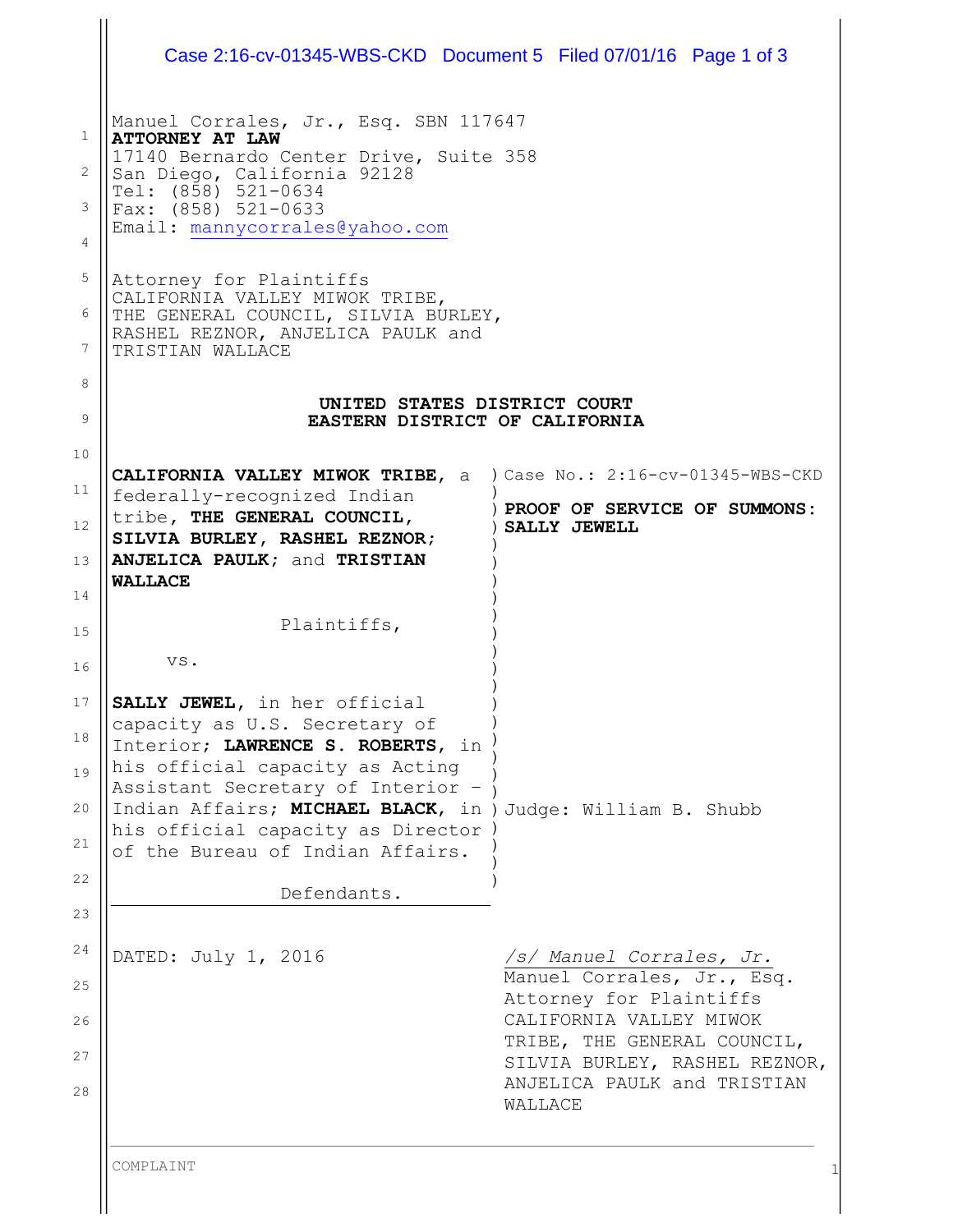| Case 2:16-cv-01345-WBS-CKD Document 5 Filed 07/01/16 Page 1 of 3                                                                                          |                                                        |
|-----------------------------------------------------------------------------------------------------------------------------------------------------------|--------------------------------------------------------|
| Manuel Corrales, Jr., Esq. SBN 117647<br><b>ATTORNEY AT LAW</b><br>17140 Bernardo Center Drive, Suite 358<br>San Diego, California 92128                  |                                                        |
| Tel: (858) 521-0634<br>Fax: (858) 521-0633<br>Email: mannycorrales@yahoo.com                                                                              |                                                        |
| Attorney for Plaintiffs<br>CALIFORNIA VALLEY MIWOK TRIBE,<br>THE GENERAL COUNCIL, SILVIA BURLEY,<br>RASHEL REZNOR, ANJELICA PAULK and<br>TRISTIAN WALLACE |                                                        |
| UNITED STATES DISTRICT COURT<br>EASTERN DISTRICT OF CALIFORNIA                                                                                            |                                                        |
| CALIFORNIA VALLEY MIWOK TRIBE, a ) Case No.: 2:16-cv-01345-WBS-CKD                                                                                        |                                                        |
| federally-recognized Indian                                                                                                                               | ) PROOF OF SERVICE OF SUMMONS:                         |
| tribe, THE GENERAL COUNCIL,<br>SILVIA BURLEY, RASHEL REZNOR;<br>ANJELICA PAULK; and TRISTIAN                                                              | SALLY JEWELL                                           |
| <b>WALLACE</b>                                                                                                                                            |                                                        |
| Plaintiffs,                                                                                                                                               |                                                        |
| VS.                                                                                                                                                       |                                                        |
| SALLY JEWEL, in her official<br>capacity as U.S. Secretary of<br>Interior; LAWRENCE S. ROBERTS, in                                                        |                                                        |
| his official capacity as Acting                                                                                                                           |                                                        |
| Assistant Secretary of Interior -<br>Indian Affairs; MICHAEL BLACK, in ) Judge: William B. Shubb                                                          |                                                        |
| his official capacity as Director<br>of the Bureau of Indian Affairs.                                                                                     |                                                        |
| Defendants.                                                                                                                                               |                                                        |
|                                                                                                                                                           |                                                        |
| DATED: July 1, 2016                                                                                                                                       | /s/ Manuel Corrales, Jr.<br>Manuel Corrales, Jr., Esq. |
|                                                                                                                                                           | Attorney for Plaintiffs<br>CALIFORNIA VALLEY MIWOK     |

 $\bigg\} \bigg|$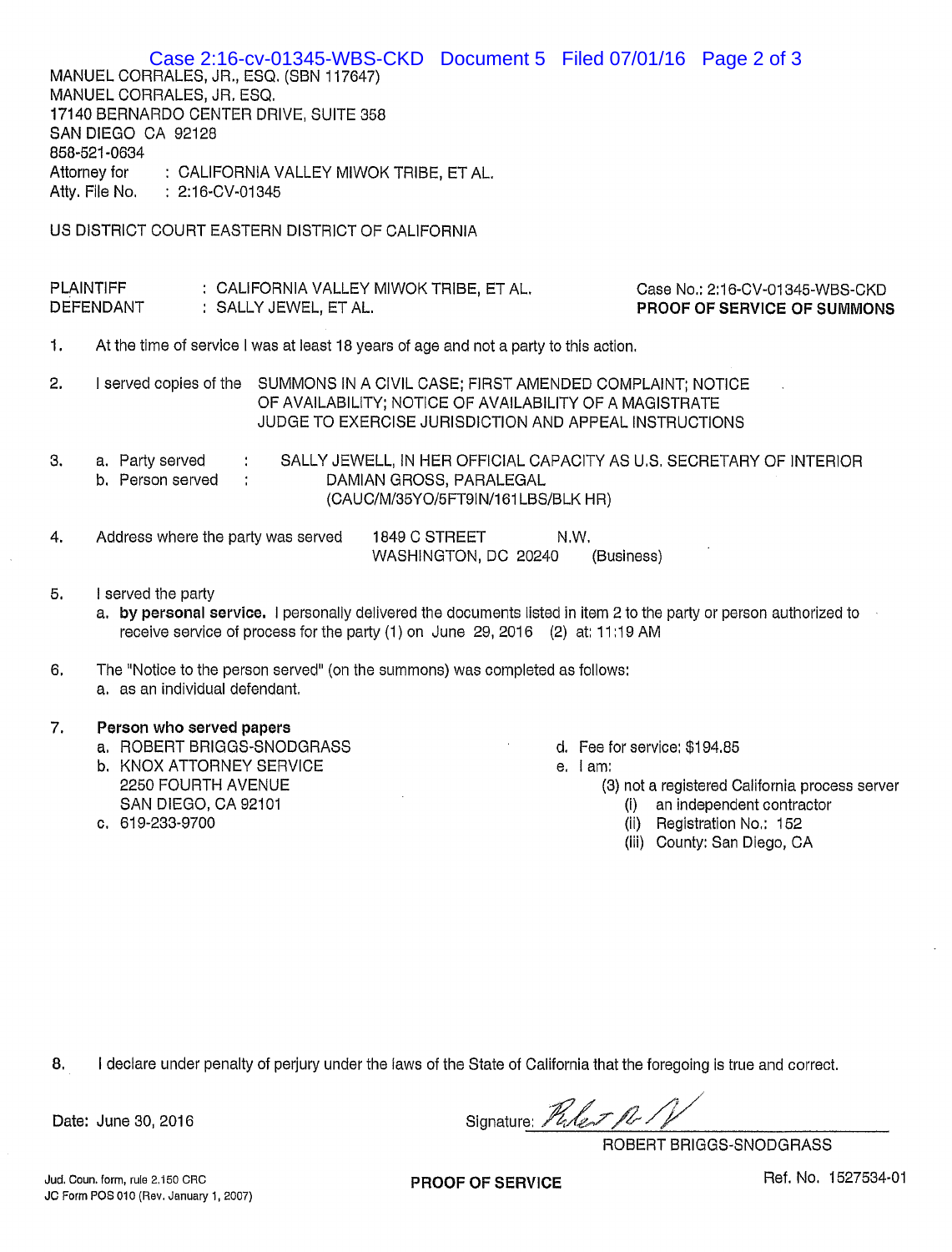Case 2:16-cv-01345-WBS-CKD Document 5 Filed 07/01/16 Page 2 of 3 MANUEL CORRALES, JR., ESQ. (SBN 117647) MANUEL CORRALES, JR. ESQ. 17140 BERNARDO CENTER DRIVE, SUITE 358 SAN DIEGO CA 92128 858-521-0634 Attorney for : CALIFORNIA VALLEY MIWOK TRIBE, ET AL. Atty. File No.  $: 2:16$ -CV-01345 US DISTRICT COURT EASTERN DISTRICT OF CALIFORNIA **PLAINTIFF** Case No.: 2:16-CV-01345-WBS-CKD : CALIFORNIA VALLEY MIWOK TRIBE, ET AL, **DEFENDANT** : SALLY JEWEL, ET AL. PROOF OF SERVICE OF SUMMONS 1. At the time of service I was at least 18 years of age and not a party to this action.

 $2.$ I served copies of the SUMMONS IN A CIVIL CASE; FIRST AMENDED COMPLAINT; NOTICE OF AVAILABILITY; NOTICE OF AVAILABILITY OF A MAGISTRATE JUDGE TO EXERCISE JURISDICTION AND APPEAL INSTRUCTIONS

3. a. Party served SALLY JEWELL, IN HER OFFICIAL CAPACITY AS U.S. SECRETARY OF INTERIOR  $\ddot{\cdot}$ b. Person served DAMIAN GROSS, PARALEGAL  $\ddot{\cdot}$ (CAUC/M/35YO/5FT9IN/161LBS/BLK HR)

| Address where the party was served | 1849 C STREET        | N.W. |            |
|------------------------------------|----------------------|------|------------|
|                                    | WASHINGTON, DC 20240 |      | (Business) |

5. I served the party

a. by personal service. I personally delivered the documents listed in item 2 to the party or person authorized to receive service of process for the party (1) on June 29, 2016 (2) at: 11:19 AM

6. The "Notice to the person served" (on the summons) was completed as follows: a. as an individual defendant.

## 7. Person who served papers

- a. ROBERT BRIGGS-SNODGRASS
- **b. KNOX ATTORNEY SERVICE** 2250 FOURTH AVENUE SAN DIEGO, CA 92101
- c. 619-233-9700
- d. Fee for service: \$194.85
- e. lam:

(3) not a registered California process server

- (i) an independent contractor
- (ii) Registration No.: 152
- (iii) County: San Diego, CA

8. I declare under penalty of perjury under the laws of the State of California that the foregoing is true and correct.

Date: June 30, 2016

Signature: Puler Pr.

ROBERT BRIGGS-SNODGRASS

**PROOF OF SERVICE**